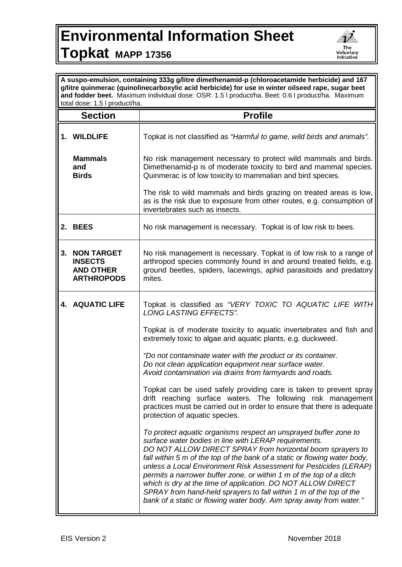## **Environmental Information Sheet Topkat MAPP 17356**



| A suspo-emulsion, containing 333g g/litre dimethenamid-p (chloroacetamide herbicide) and 167<br>g/litre quinmerac (quinolinecarboxylic acid herbicide) for use in winter oilseed rape, sugar beet<br>and fodder beet. Maximum individual dose: OSR: 1.5   product/ha. Beet: 0.6   product/ha. Maximum<br>total dose: 1.5 I product/ha. |                                                                              |                                                                                                                                                                                                                                                                                                                                                                                                                                                                                                                                                                                                                               |  |
|----------------------------------------------------------------------------------------------------------------------------------------------------------------------------------------------------------------------------------------------------------------------------------------------------------------------------------------|------------------------------------------------------------------------------|-------------------------------------------------------------------------------------------------------------------------------------------------------------------------------------------------------------------------------------------------------------------------------------------------------------------------------------------------------------------------------------------------------------------------------------------------------------------------------------------------------------------------------------------------------------------------------------------------------------------------------|--|
|                                                                                                                                                                                                                                                                                                                                        | <b>Section</b>                                                               | <b>Profile</b>                                                                                                                                                                                                                                                                                                                                                                                                                                                                                                                                                                                                                |  |
|                                                                                                                                                                                                                                                                                                                                        | 1. WILDLIFE                                                                  | Topkat is not classified as "Harmful to game, wild birds and animals".                                                                                                                                                                                                                                                                                                                                                                                                                                                                                                                                                        |  |
|                                                                                                                                                                                                                                                                                                                                        | <b>Mammals</b><br>and<br><b>Birds</b>                                        | No risk management necessary to protect wild mammals and birds.<br>Dimethenamid-p is of moderate toxicity to bird and mammal species.<br>Quinmerac is of low toxicity to mammalian and bird species.                                                                                                                                                                                                                                                                                                                                                                                                                          |  |
|                                                                                                                                                                                                                                                                                                                                        |                                                                              | The risk to wild mammals and birds grazing on treated areas is low,<br>as is the risk due to exposure from other routes, e.g. consumption of<br>invertebrates such as insects.                                                                                                                                                                                                                                                                                                                                                                                                                                                |  |
|                                                                                                                                                                                                                                                                                                                                        | 2. BEES                                                                      | No risk management is necessary. Topkat is of low risk to bees.                                                                                                                                                                                                                                                                                                                                                                                                                                                                                                                                                               |  |
| 3.                                                                                                                                                                                                                                                                                                                                     | <b>NON TARGET</b><br><b>INSECTS</b><br><b>AND OTHER</b><br><b>ARTHROPODS</b> | No risk management is necessary. Topkat is of low risk to a range of<br>arthropod species commonly found in and around treated fields, e.g.<br>ground beetles, spiders, lacewings, aphid parasitoids and predatory<br>mites.                                                                                                                                                                                                                                                                                                                                                                                                  |  |
|                                                                                                                                                                                                                                                                                                                                        | <b>4. AQUATIC LIFE</b>                                                       | Topkat is classified as "VERY TOXIC TO AQUATIC LIFE WITH<br><b>LONG LASTING EFFECTS".</b>                                                                                                                                                                                                                                                                                                                                                                                                                                                                                                                                     |  |
|                                                                                                                                                                                                                                                                                                                                        |                                                                              | Topkat is of moderate toxicity to aquatic invertebrates and fish and<br>extremely toxic to algae and aquatic plants, e.g. duckweed.                                                                                                                                                                                                                                                                                                                                                                                                                                                                                           |  |
|                                                                                                                                                                                                                                                                                                                                        |                                                                              | "Do not contaminate water with the product or its container.<br>Do not clean application equipment near surface water.<br>Avoid contamination via drains from farmyards and roads.                                                                                                                                                                                                                                                                                                                                                                                                                                            |  |
|                                                                                                                                                                                                                                                                                                                                        |                                                                              | Topkat can be used safely providing care is taken to prevent spray<br>drift reaching surface waters. The following risk management<br>practices must be carried out in order to ensure that there is adequate<br>protection of aquatic species.                                                                                                                                                                                                                                                                                                                                                                               |  |
|                                                                                                                                                                                                                                                                                                                                        |                                                                              | To protect aquatic organisms respect an unsprayed buffer zone to<br>surface water bodies in line with LERAP requirements.<br>DO NOT ALLOW DIRECT SPRAY from horizontal boom sprayers to<br>fall within 5 m of the top of the bank of a static or flowing water body,<br>unless a Local Environment Risk Assessment for Pesticides (LERAP)<br>permits a narrower buffer zone, or within 1 m of the top of a ditch<br>which is dry at the time of application. DO NOT ALLOW DIRECT<br>SPRAY from hand-held sprayers to fall within 1 m of the top of the<br>bank of a static or flowing water body. Aim spray away from water." |  |